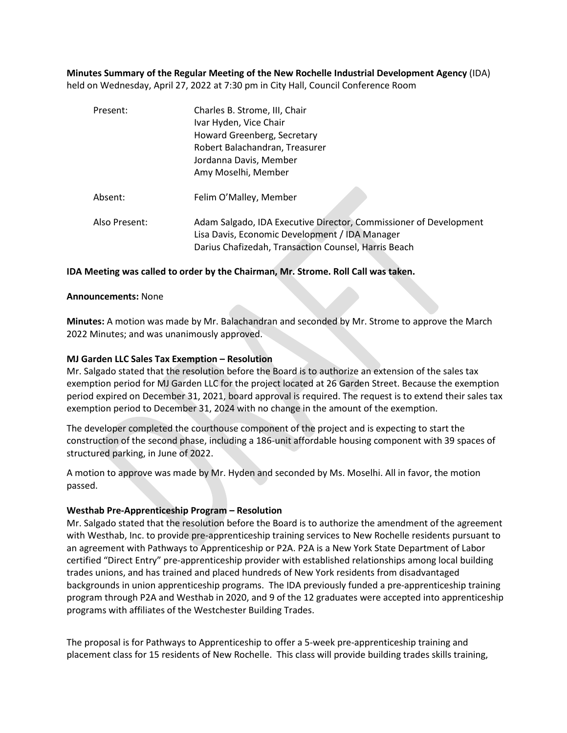**Minutes Summary of the Regular Meeting of the New Rochelle Industrial Development Agency** (IDA) held on Wednesday, April 27, 2022 at 7:30 pm in City Hall, Council Conference Room

| Present:      | Charles B. Strome, III, Chair                                                                                       |
|---------------|---------------------------------------------------------------------------------------------------------------------|
|               | Ivar Hyden, Vice Chair                                                                                              |
|               | Howard Greenberg, Secretary                                                                                         |
|               | Robert Balachandran, Treasurer                                                                                      |
|               | Jordanna Davis, Member                                                                                              |
|               | Amy Moselhi, Member                                                                                                 |
| Absent:       | Felim O'Malley, Member                                                                                              |
| Also Present: | Adam Salgado, IDA Executive Director, Commissioner of Development<br>Lisa Davis, Economic Development / IDA Manager |
|               | Darius Chafizedah, Transaction Counsel, Harris Beach                                                                |

## **IDA Meeting was called to order by the Chairman, Mr. Strome. Roll Call was taken.**

#### **Announcements:** None

**Minutes:** A motion was made by Mr. Balachandran and seconded by Mr. Strome to approve the March 2022 Minutes; and was unanimously approved.

#### **MJ Garden LLC Sales Tax Exemption – Resolution**

Mr. Salgado stated that the resolution before the Board is to authorize an extension of the sales tax exemption period for MJ Garden LLC for the project located at 26 Garden Street. Because the exemption period expired on December 31, 2021, board approval is required. The request is to extend their sales tax exemption period to December 31, 2024 with no change in the amount of the exemption.

The developer completed the courthouse component of the project and is expecting to start the construction of the second phase, including a 186-unit affordable housing component with 39 spaces of structured parking, in June of 2022.

A motion to approve was made by Mr. Hyden and seconded by Ms. Moselhi. All in favor, the motion passed.

### **Westhab Pre-Apprenticeship Program – Resolution**

Mr. Salgado stated that the resolution before the Board is to authorize the amendment of the agreement with Westhab, Inc. to provide pre-apprenticeship training services to New Rochelle residents pursuant to an agreement with Pathways to Apprenticeship or P2A. P2A is a New York State Department of Labor certified "Direct Entry" pre-apprenticeship provider with established relationships among local building trades unions, and has trained and placed hundreds of New York residents from disadvantaged backgrounds in union apprenticeship programs. The IDA previously funded a pre-apprenticeship training program through P2A and Westhab in 2020, and 9 of the 12 graduates were accepted into apprenticeship programs with affiliates of the Westchester Building Trades.

The proposal is for Pathways to Apprenticeship to offer a 5-week pre-apprenticeship training and placement class for 15 residents of New Rochelle. This class will provide building trades skills training,